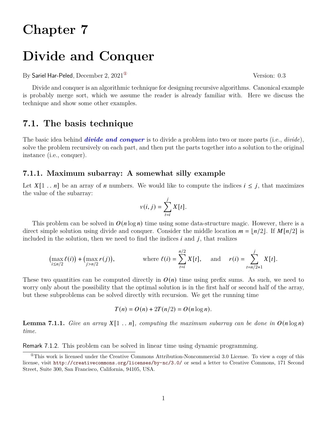# **Chapter 7**

# **Divide and Conquer**

By Sariel Har-Peled, December 2, 2021<sup>10</sup> Version: 0.3

Divide and conquer is an algorithmic technique for designing recursive algorithms. Canonical example is probably merge sort, which we assume the reader is already familiar with. Here we discuss the technique and show some other examples.

## **7.1. The basis technique**

The basic idea behind *divide and conquer* is to divide a problem into two or more parts (i.e., *divide*), solve the problem recursively on each part, and then put the parts together into a solution to the original instance (i.e., conquer).

#### **7.1.1. Maximum subarray: A somewhat silly example**

Let  $X[1 \tcdot n]$  be an array of *n* numbers. We would like to compute the indices  $i \leq j$ , that maximizes the value of the subarray:

$$
v(i, j) = \sum_{t=i}^{j} X[t].
$$

This problem can be solved in  $O(n \log n)$  time using some data-structure magic. However, there is a direct simple solution using divide and conquer. Consider the middle location  $m = |n/2|$ . If  $M[n/2]$  is included in the solution, then we need to find the indices  $i$  and  $j$ , that realizes

$$
\bigl(\max_{i\leq n/2}\ell(i)\bigr)+\bigl(\max_{j>n/2}r(j)\bigr),\qquad\qquad\text{where }\ell(i)=\sum_{t=i}^{n/2}X[t],\quad\text{ and }\quad r(i)=\sum_{t=n/2+1}^{j}X[t].
$$

These two quantities can be computed directly in  $O(n)$  time using prefix sums. As such, we need to worry only about the possibility that the optimal solution is in the first half or second half of the array, but these subproblems can be solved directly with recursion. We get the running time

$$
T(n) = O(n) + 2T(n/2) = O(n \log n).
$$

**Lemma 7.1.1.** *Give an array*  $X[1 \t n]$ *, computing the maximum subarray can be done in*  $O(n \log n)$ *time.*

Remark 7.1.2. This problem can be solved in linear time using dynamic programming.

<span id="page-0-0"></span> $^{\circ}$ This work is licensed under the Creative Commons Attribution-Noncommercial 3.0 License. To view a copy of this license, visit <http://creativecommons.org/licenses/by-nc/3.0/> or send a letter to Creative Commons, 171 Second Street, Suite 300, San Francisco, California, 94105, USA.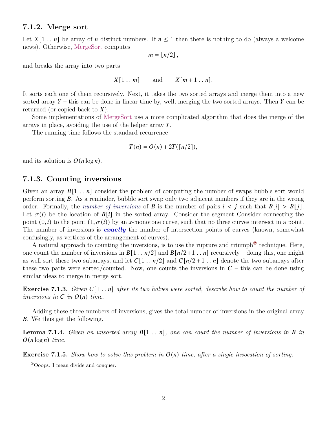#### **7.1.2. Merge sort**

Let  $X[1 \tcdot n]$  be array of *n* distinct numbers. If  $n \le 1$  then there is nothing to do (always a welcome news). Otherwise, MergeSort computes

$$
m=\lfloor n/2\rfloor\,,
$$

and breaks the array into two parts

$$
X[1..m]
$$
 and  $X[m+1..n]$ .

It sorts each one of them recursively. Next, it takes the two sorted arrays and merge them into a new sorted array  $Y$  – this can be done in linear time by, well, merging the two sorted arrays. Then Y can be returned (or copied back to  $X$ ).

Some implementations of MergeSort use a more complicated algorithm that does the merge of the arrays in place, avoiding the use of the helper array  $Y$ .

The running time follows the standard recurrence

$$
T(n) = O(n) + 2T(\lceil n/2 \rceil),
$$

and its solution is  $O(n \log n)$ .

#### **7.1.3. Counting inversions**

Given an array  $B[1 \tcdot n]$  consider the problem of computing the number of swaps bubble sort would perform sorting  $\bm{B}$ . As a reminder, bubble sort swap only two adjacent numbers if they are in the wrong order. Formally, the *number of inversions* of **B** is the number of pairs  $i < j$  such that  $B[i] > B[j]$ . Let  $\sigma(i)$  be the location of  $B[i]$  in the sorted array. Consider the segment Consider connecting the point  $(0, i)$  to the point  $(1, \sigma(i))$  by an x-monotone curve, such that no three curves intersect in a point. The number of inversions is *exactly* the number of intersection points of curves (known, somewhat confusingly, as vertices of the arrangement of curves).

A natural approach to counting the inversions, is to use the rupture and triumph<sup> $@$ </sup> technique. Here, one count the number of inversions in  $B[1 \tcdot n/2]$  and  $B[n/2+1 \tcdot n]$  recursively – doing this, one might as well sort these two subarrays, and let  $C[1 \tbinom{n}{2}]$  and  $C[n/2 + 1 \tbinom{n}{2}]$  denote the two subarrays after these two parts were sorted/counted. Now, one counts the inversions in  $C$  – this can be done using similar ideas to merge in merge sort.

**Exercise 7.1.3.** *Given*  $C[1 \t ... n]$  *after its two halves were sorted, describe how to count the number of inversions in*  $C$  *in*  $O(n)$  *time.* 

Adding these three numbers of inversions, gives the total number of inversions in the original array . We thus get the following.

**Lemma 7.1.4.** *Given an unsorted array*  $B[1 \t n]$ , one can count the number of inversions in B in  $O(n \log n)$  *time.* 

**Exercise 7.1.5.** *Show how to solve this problem in*  $O(n)$  *time, after a single invocation of sorting.* 

<span id="page-1-0"></span><sup>②</sup>Ooops. I mean divide and conquer.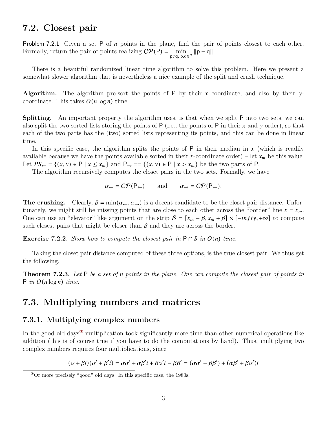## **7.2. Closest pair**

Problem 7.2.1. Given a set P of  $n$  points in the plane, find the pair of points closest to each other. Formally, return the pair of points realizing  $\mathcal{CP}(\mathsf{P}) = \min_{\mathsf{p} \neq \mathsf{q}, \mathsf{p}, \mathsf{q} \in \mathsf{P}} ||\mathsf{p} - \mathsf{q}||.$ 

There is a beautiful randomized linear time algorithm to solve this problem. Here we present a somewhat slower algorithm that is nevertheless a nice example of the split and crush technique.

**Algorithm.** The algorithm pre-sort the points of P by their  $x$  coordinate, and also by their  $y$ coordinate. This takes  $O(n \log n)$  time.

**Splitting.** An important property the algorithm uses, is that when we split P into two sets, we can also split the two sorted lists storing the points of  $P$  (i.e., the points of  $P$  in their  $x$  and  $y$  order), so that each of the two parts has the (two) sorted lists representing its points, and this can be done in linear time.

In this specific case, the algorithm splits the points of  $P$  in their median in  $x$  (which is readily available because we have the points available sorted in their x-coordinate order) – let  $x_m$  be this value. Let  $PS_{\leftarrow} = \{(x, y) \in P \mid x \leq x_m\}$  and  $P_{\rightarrow} = \{(x, y) \in P \mid x > x_m\}$  be the two parts of P.

The algorithm recursively computes the closet pairs in the two sets. Formally, we have

 $\alpha_{\leftarrow} = C\mathcal{P}(\mathsf{P}_{\leftarrow})$  and  $\alpha_{\rightarrow} = C\mathcal{P}(\mathsf{P}_{\leftarrow}).$ 

**The crushing.** Clearly,  $\beta = \min(\alpha \infty, \alpha \rightarrow)$  is a decent candidate to be the closet pair distance. Unfortunately, we might still be missing points that are close to each other across the "border" line  $x = x_m$ . One can use an "elevator" like argument on the strip  $S = [x_m - \beta, x_m + \beta] \times [-\inf ty, +\infty]$  to compute such closest pairs that might be closer than  $\beta$  and they are across the border.

**Exercise 7.2.2.** *Show how to compute the closest pair in*  $P \cap S$  *in*  $O(n)$  *time.* 

Taking the closet pair distance computed of these three options, is the true closest pair. We thus get the following.

**Theorem 7.2.3.** *Let* P *be a set of points in the plane. One can compute the closest pair of points in*  $P$  *in*  $O(n \log n)$  *time.* 

## **7.3. Multiplying numbers and matrices**

### **7.3.1. Multiplying complex numbers**

In the good old days<sup>3</sup> multiplication took significantly more time than other numerical operations like addition (this is of course true if you have to do the computations by hand). Thus, multiplying two complex numbers requires four multiplications, since

$$
(\alpha + \beta i)(\alpha' + \beta' i) = \alpha \alpha' + \alpha \beta' i + \beta \alpha' i - \beta \beta' = (\alpha \alpha' - \beta \beta') + (\alpha \beta' + \beta \alpha') i
$$

<span id="page-2-0"></span><sup>③</sup>Or more precisely "good" old days. In this specific case, the 1980s.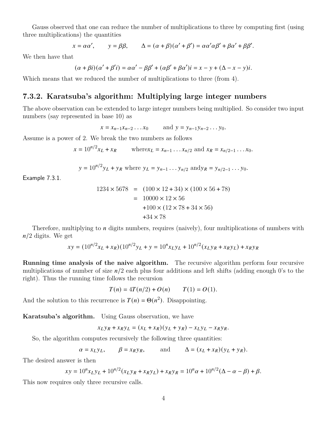Gauss observed that one can reduce the number of multiplications to three by computing first (using three multiplications) the quantities

$$
x = \alpha \alpha',
$$
  $y = \beta \beta,$   $\Delta = (\alpha + \beta)(\alpha' + \beta') = \alpha \alpha' \alpha \beta' + \beta \alpha' + \beta \beta'.$ 

We then have that

$$
(\alpha + \beta i)(\alpha' + \beta' i) = \alpha \alpha' - \beta \beta' + (\alpha \beta' + \beta \alpha') i = x - y + (\Delta - x - y)i.
$$

Which means that we reduced the number of multiplications to three (from 4).

### **7.3.2. Karatsuba's algorithm: Multiplying large integer numbers**

The above observation can be extended to large integer numbers being multiplied. So consider two input numbers (say represented in base 10) as

 $x = x_{n-1}x_{n-2}...x_0$  and  $y = y_{n-1}y_{n-2}...y_0$ .

Assume is a power of 2. We break the two numbers as follows

$$
x = 10^{n/2}x_L + x_R
$$
 where  $x_L = x_{n-1} \dots x_{n/2}$  and  $x_R = x_{n/2-1} \dots x_0$ .

$$
y = 10^{n/2}y_L + y_R
$$
 where  $y_L = y_{n-1} \dots y_{n/2}$  and  $y_R = y_{n/2-1} \dots y_0$ 

Example 7.3.1.

$$
1234 \times 5678 = (100 \times 12 + 34) \times (100 \times 56 + 78)
$$
  
= 10000 \times 12 \times 56  
+100 \times (12 \times 78 + 34 \times 56)  
+34 \times 78

Therefore, multiplying to  $n$  digits numbers, requires (naively), four multiplications of numbers with  $n/2$  digits. We get

$$
xy = (10^{n/2}x_L + x_R)(10^{n/2}y_L + y = 10^n x_L y_L + 10^{n/2}(x_L y_R + x_R y_L) + x_R y_R
$$

**Running time analysis of the naive algorithm.** The recursive algorithm perform four recursive multiplications of number of size  $n/2$  each plus four additions and left shifts (adding enough 0's to the right). Thus the running time follows the recursion

 $T(n) = 4T(n/2) + O(n)$   $T(1) = O(1).$ 

And the solution to this recurrence is  $T(n) = \Theta(n^2)$ . Disappointing.

**Karatsuba's algorithm.** Using Gauss observation, we have

$$
x_L y_R + x_R y_L = (x_L + x_R)(y_L + y_R) - x_L y_L - x_R y_R.
$$

So, the algorithm computes recursively the following three quantities:

$$
\alpha = x_L y_L
$$
,  $\beta = x_R y_R$ , and  $\Delta = (x_L + x_R)(y_L + y_R)$ .

The desired answer is then

$$
xy = 10^{n} x_L y_L + 10^{n/2} (x_L y_R + x_R y_L) + x_R y_R = 10^{n} \alpha + 10^{n/2} (\Delta - \alpha - \beta) + \beta.
$$

This now requires only three recursive calls.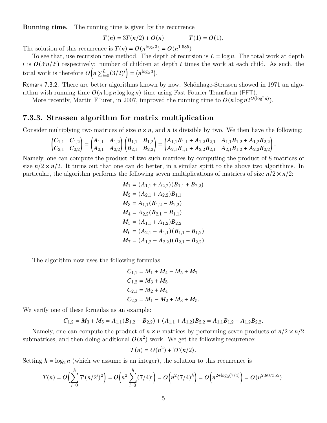**Running time.** The running time is given by the recurrence

$$
T(n) = 3T(n/2) + O(n) \qquad T(1) = O(1).
$$

The solution of this recurrence is  $T(n) = O(n^{\log_2 3}) = O(n^{1.585})$ 

To see that, use recursion tree method. The depth of recursion is  $L = \log n$ . The total work at depth i is  $O(3<sup>i</sup>n/2<sup>i</sup>)$  respectively: number of children at depth i times the work at each child. As such, the total work is therefore  $O(n \sum_{i=0}^{L} (3/2)^{i}) = (n^{\log_2 3})$ .

Remark 7.3.2. There are better algorithms known by now. Schönhage-Strassen showed in 1971 an algorithm with running time  $O(n \log n \log \log n)$  time using Fast-Fourier-Transform (FFT).

More recently, Martin F urer, in 2007, improved the running time to  $O(n \log n 2^{O(\log^* n)})$ .

#### **7.3.3. Strassen algorithm for matrix multiplication**

Consider multiplying two matrices of size  $n \times n$ , and n is divisible by two. We then have the following:

$$
\begin{pmatrix} C_{1,1} & C_{1,2} \\ C_{2,1} & C_{2,2} \end{pmatrix} = \begin{pmatrix} A_{1,1} & A_{1,2} \\ A_{2,1} & A_{2,2} \end{pmatrix} \begin{pmatrix} B_{1,1} & B_{1,2} \\ B_{2,1} & B_{2,2} \end{pmatrix} = \begin{pmatrix} A_{1,1}B_{1,1} + A_{1,2}B_{2,1} & A_{1,1}B_{1,2} + A_{1,2}B_{2,2} \\ A_{2,1}B_{1,1} + A_{2,2}B_{2,1} & A_{2,1}B_{1,2} + A_{2,2}B_{2,2} \end{pmatrix}.
$$

Namely, one can compute the product of two such matrices by computing the product of 8 matrices of size  $n/2 \times n/2$ . It turns out that one can do better, in a similar spirit to the above two algorithms. In particular, the algorithm performs the following seven multiplications of matrices of size  $n/2 \times n/2$ :

$$
M_1 = (A_{1,1} + A_{2,2})(B_{1,1} + B_{2,2})
$$
  
\n
$$
M_2 = (A_{2,1} + A_{2,2})B_{1,1}
$$
  
\n
$$
M_3 = A_{1,1}(B_{1,2} - B_{2,2})
$$
  
\n
$$
M_4 = A_{2,2}(B_{2,1} - B_{1,1})
$$
  
\n
$$
M_5 = (A_{1,1} + A_{1,2})B_{2,2}
$$
  
\n
$$
M_6 = (A_{2,1} - A_{1,1})(B_{1,1} + B_{1,2})
$$
  
\n
$$
M_7 = (A_{1,2} - A_{2,2})(B_{2,1} + B_{2,2})
$$

The algorithm now uses the following formulas:

$$
C_{1,1} = M_1 + M_4 - M_5 + M_7
$$
  
\n
$$
C_{1,2} = M_3 + M_5
$$
  
\n
$$
C_{2,1} = M_2 + M_4
$$
  
\n
$$
C_{2,2} = M_1 - M_2 + M_3 + M_5.
$$

We verify one of these formulas as an example:

$$
C_{1,2}=M_3+M_5=A_{1,1}(B_{1,2}-B_{2,2})+(A_{1,1}+A_{1,2})B_{2,2}=A_{1,1}B_{1,2}+A_{1,2}B_{2,2}.
$$

Namely, one can compute the product of  $n \times n$  matrices by performing seven products of  $n/2 \times n/2$ submatrices, and then doing additional  $O(n^2)$  work. We get the following recurrence:

$$
T(n) = O(n^2) + 7T(n/2).
$$

Setting  $h = \log_2 n$  (which we assume is an integer), the solution to this recurrence is

$$
T(n) = O\left(\sum_{i=0}^{h} 7^{i} (n/2^{i})^{2}\right) = O\left(n^{2} \sum_{i=0}^{h} (7/4)^{i}\right) = O\left(n^{2} (7/4)^{h}\right) = O\left(n^{2 + \log_{2}(7/4)}\right) = O(n^{2.807355}).
$$